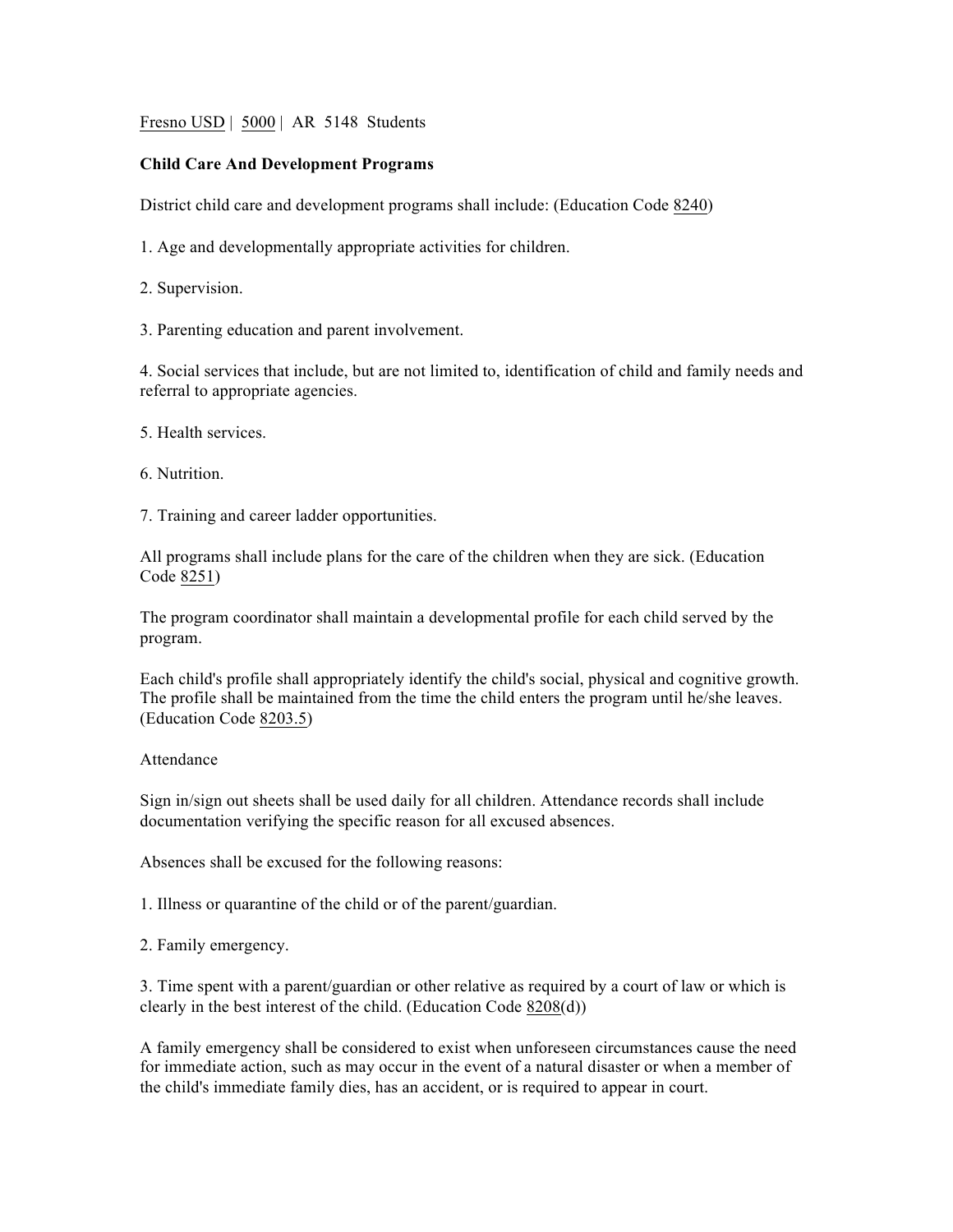Fresno USD | 5000 | AR 5148 Students

## **Child Care And Development Programs**

District child care and development programs shall include: (Education Code 8240)

1. Age and developmentally appropriate activities for children.

2. Supervision.

3. Parenting education and parent involvement.

4. Social services that include, but are not limited to, identification of child and family needs and referral to appropriate agencies.

5. Health services.

6. Nutrition.

7. Training and career ladder opportunities.

All programs shall include plans for the care of the children when they are sick. (Education Code 8251)

The program coordinator shall maintain a developmental profile for each child served by the program.

Each child's profile shall appropriately identify the child's social, physical and cognitive growth. The profile shall be maintained from the time the child enters the program until he/she leaves. (Education Code 8203.5)

## Attendance

Sign in/sign out sheets shall be used daily for all children. Attendance records shall include documentation verifying the specific reason for all excused absences.

Absences shall be excused for the following reasons:

1. Illness or quarantine of the child or of the parent/guardian.

2. Family emergency.

3. Time spent with a parent/guardian or other relative as required by a court of law or which is clearly in the best interest of the child. (Education Code 8208(d))

A family emergency shall be considered to exist when unforeseen circumstances cause the need for immediate action, such as may occur in the event of a natural disaster or when a member of the child's immediate family dies, has an accident, or is required to appear in court.